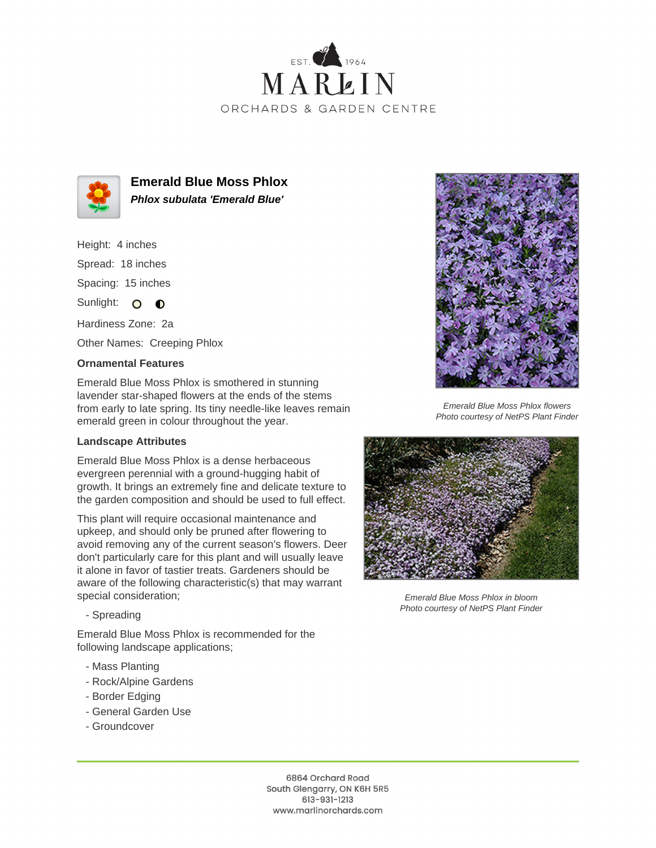



**Emerald Blue Moss Phlox Phlox subulata 'Emerald Blue'**

Height: 4 inches Spread: 18 inches Spacing: 15 inches

Sunlight: O O

Hardiness Zone: 2a Other Names: Creeping Phlox

## **Ornamental Features**

Emerald Blue Moss Phlox is smothered in stunning lavender star-shaped flowers at the ends of the stems from early to late spring. Its tiny needle-like leaves remain emerald green in colour throughout the year.

## **Landscape Attributes**

Emerald Blue Moss Phlox is a dense herbaceous evergreen perennial with a ground-hugging habit of growth. It brings an extremely fine and delicate texture to the garden composition and should be used to full effect.

This plant will require occasional maintenance and upkeep, and should only be pruned after flowering to avoid removing any of the current season's flowers. Deer don't particularly care for this plant and will usually leave it alone in favor of tastier treats. Gardeners should be aware of the following characteristic(s) that may warrant special consideration;



Emerald Blue Moss Phlox flowers Photo courtesy of NetPS Plant Finder



Emerald Blue Moss Phlox in bloom Photo courtesy of NetPS Plant Finder

- Spreading

Emerald Blue Moss Phlox is recommended for the following landscape applications;

- Mass Planting
- Rock/Alpine Gardens
- Border Edging
- General Garden Use
- Groundcover

6864 Orchard Road South Glengarry, ON K6H 5R5 613-931-1213 www.marlinorchards.com